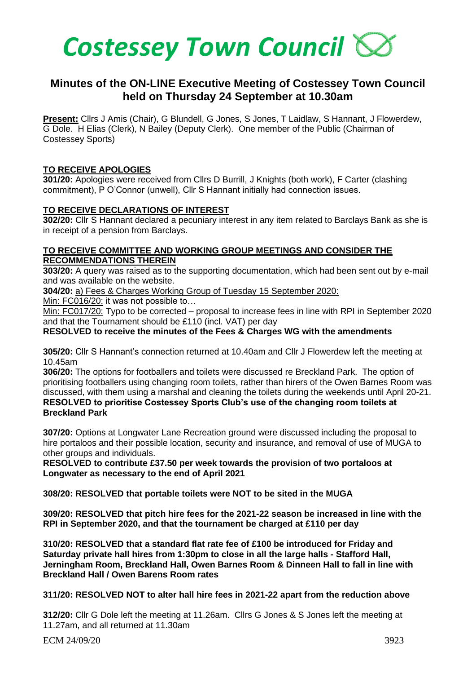

# **Minutes of the ON-LINE Executive Meeting of Costessey Town Council held on Thursday 24 September at 10.30am**

**Present:** Cllrs J Amis (Chair), G Blundell, G Jones, S Jones, T Laidlaw, S Hannant, J Flowerdew, G Dole. H Elias (Clerk), N Bailey (Deputy Clerk). One member of the Public (Chairman of Costessey Sports)

# **TO RECEIVE APOLOGIES**

**301/20:** Apologies were received from Cllrs D Burrill, J Knights (both work), F Carter (clashing commitment), P O'Connor (unwell), Cllr S Hannant initially had connection issues.

# **TO RECEIVE DECLARATIONS OF INTEREST**

**302/20:** Cllr S Hannant declared a pecuniary interest in any item related to Barclays Bank as she is in receipt of a pension from Barclays.

#### **TO RECEIVE COMMITTEE AND WORKING GROUP MEETINGS AND CONSIDER THE RECOMMENDATIONS THEREIN**

**303/20:** A query was raised as to the supporting documentation, which had been sent out by e-mail and was available on the website.

**304/20:** a) Fees & Charges Working Group of Tuesday 15 September 2020:

Min: FC016/20: it was not possible to…

Min: FC017/20: Typo to be corrected – proposal to increase fees in line with RPI in September 2020 and that the Tournament should be £110 (incl. VAT) per day

# **RESOLVED to receive the minutes of the Fees & Charges WG with the amendments**

**305/20:** Cllr S Hannant's connection returned at 10.40am and Cllr J Flowerdew left the meeting at 10.45am

**306/20:** The options for footballers and toilets were discussed re Breckland Park. The option of prioritising footballers using changing room toilets, rather than hirers of the Owen Barnes Room was discussed, with them using a marshal and cleaning the toilets during the weekends until April 20-21. **RESOLVED to prioritise Costessey Sports Club's use of the changing room toilets at Breckland Park**

**307/20:** Options at Longwater Lane Recreation ground were discussed including the proposal to hire portaloos and their possible location, security and insurance, and removal of use of MUGA to other groups and individuals.

**RESOLVED to contribute £37.50 per week towards the provision of two portaloos at Longwater as necessary to the end of April 2021**

**308/20: RESOLVED that portable toilets were NOT to be sited in the MUGA**

**309/20: RESOLVED that pitch hire fees for the 2021-22 season be increased in line with the RPI in September 2020, and that the tournament be charged at £110 per day**

**310/20: RESOLVED that a standard flat rate fee of £100 be introduced for Friday and Saturday private hall hires from 1:30pm to close in all the large halls - Stafford Hall, Jerningham Room, Breckland Hall, Owen Barnes Room & Dinneen Hall to fall in line with Breckland Hall / Owen Barens Room rates**

# **311/20: RESOLVED NOT to alter hall hire fees in 2021-22 apart from the reduction above**

**312/20:** Cllr G Dole left the meeting at 11.26am. Cllrs G Jones & S Jones left the meeting at 11.27am, and all returned at 11.30am